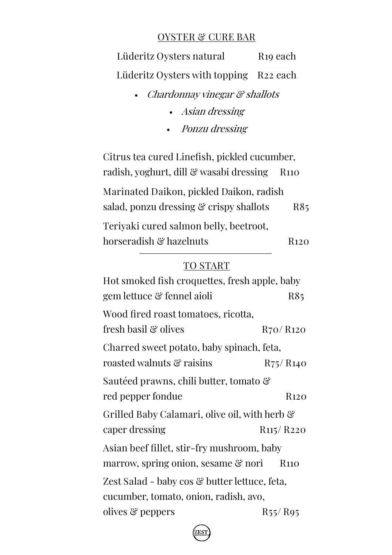#### **OYSTER & CURE BAR**

**Lüderitz Oysters natural R19 each Lüderitz Oysters with topping R22 each**

- Chardonnay vinegar & shallots
	- Asian dressing
	- Ponzu dressing

**Citrus tea cured Linefish**, pickled cucumber, radish, yoghurt, dill & wasabi dressing **R110 Marinated Daikon**, pickled Daikon, radish salad, ponzu dressing & crispy shallots **R85 Teriyaki cured salmon belly,** beetroot, horseradish & hazelnuts **R120** 

#### **TO START**

| Hot smoked fish croquettes, fresh apple, baby |                                    |  |
|-----------------------------------------------|------------------------------------|--|
| gem lettuce & fennel aioli                    | R85                                |  |
| Wood fired roast tomatoes, ricotta,           |                                    |  |
| fresh basil & olives                          | R <sub>70</sub> /R <sub>120</sub>  |  |
| Charred sweet potato, baby spinach, feta,     |                                    |  |
| roasted walnuts & raisins                     | $R_{75}/R_{140}$                   |  |
| Sautéed prawns, chili butter, tomato &        |                                    |  |
| red pepper fondue                             | R <sub>120</sub>                   |  |
| Grilled Baby Calamari, olive oil, with herb & |                                    |  |
| caper dressing                                | R <sub>115</sub> /R <sub>220</sub> |  |
| Asian beef fillet, stir-fry mushroom, baby    |                                    |  |
| marrow, spring onion, sesame & nori           | R <sub>110</sub>                   |  |
| Zest Salad - baby cos & butter lettuce, feta, |                                    |  |
| cucumber, tomato, onion, radish, avo,         |                                    |  |
| olives & peppers                              | $R_{55}/R_{95}$                    |  |
|                                               |                                    |  |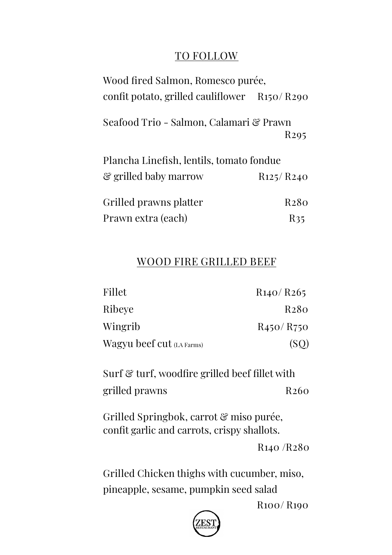### **TO FOLLOW**

| Wood fired Salmon, Romesco purée,            |                                    |  |
|----------------------------------------------|------------------------------------|--|
| confit potato, grilled cauliflower R150/R290 |                                    |  |
| Seafood Trio - Salmon, Calamari & Prawn      | R <sub>295</sub>                   |  |
| Plancha Linefish, lentils, tomato fondue     |                                    |  |
| & grilled baby marrow                        | R <sub>125</sub> /R <sub>240</sub> |  |
| Grilled prawns platter                       | R <sub>2</sub> 80                  |  |
| Prawn extra (each)                           | R35                                |  |

### **WOOD FIRE GRILLED BEEF**

| Fillet                    | R140/R265                          |
|---------------------------|------------------------------------|
| Ribeye                    | R <sub>2</sub> 80                  |
| Wingrib                   | R <sub>450</sub> /R <sub>750</sub> |
| Wagyu beef cut (LA Farms) | (SO)                               |

**Surf & turf,** woodfire grilled beef fillet with grilled prawns **R260** 

**Grilled Springbok**, carrot & miso purée, confit garlic and carrots, crispy shallots.

**R140 /R280** 

**Grilled Chicken thighs** with cucumber, miso, pineapple, sesame, pumpkin seed salad

**R100/ R190**